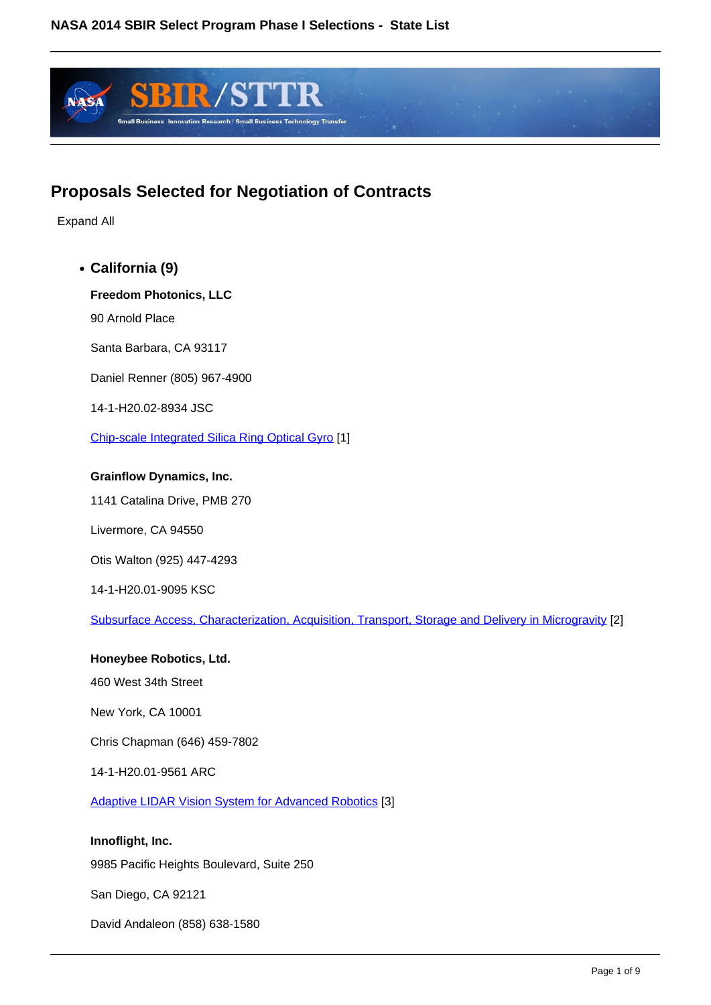

## **Proposals Selected for Negotiation of Contracts**

Expand All

**California (9)**

**Freedom Photonics, LLC**

90 Arnold Place

Santa Barbara, CA 93117

Daniel Renner (805) 967-4900

14-1-H20.02-8934 JSC

Chip-scale Integrated Silica Ring Optical Gyro [1]

#### **Grainflow Dynamics, Inc.**

1141 Catalina Drive, PMB 270

Livermore, CA 94550

Otis Walton (925) 447-4293

14-1-H20.01-9095 KSC

Subsurface Access, Characterization, Acquisition, Transport, Storage and Delivery in Microgravity [2]

**Honeybee Robotics, Ltd.** 460 West 34th Street New York, CA 10001 Chris Chapman (646) 459-7802 14-1-H20.01-9561 ARC Adaptive LIDAR Vision System for Advanced Robotics [3] **Innoflight, Inc.** 9985 Pacific Heights Boulevard, Suite 250 San Diego, CA 92121

David Andaleon (858) 638-1580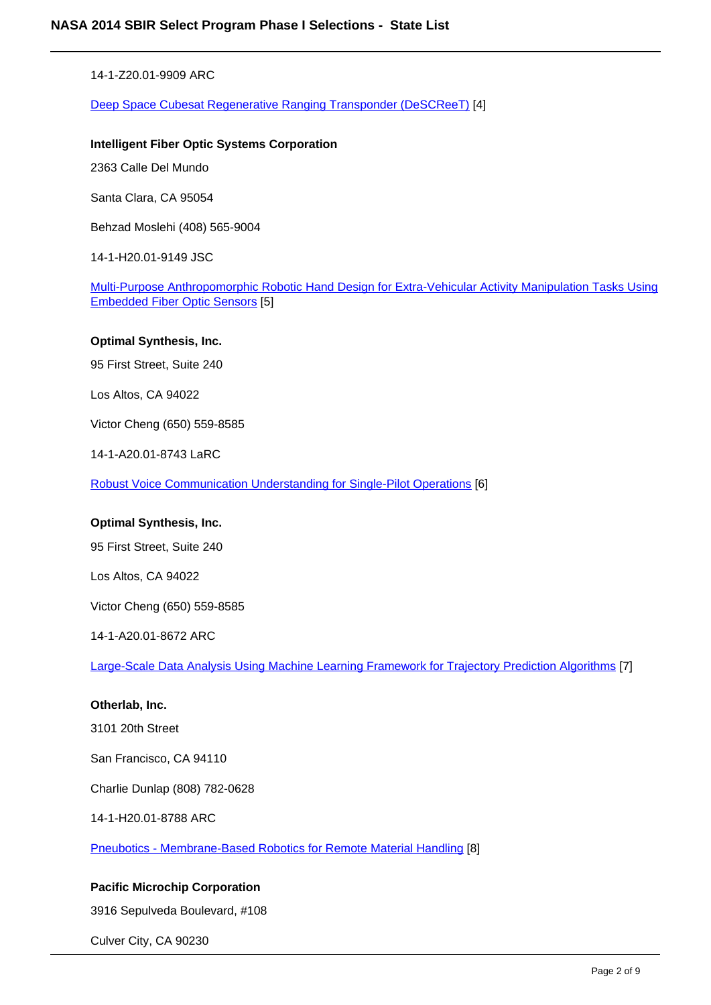14-1-Z20.01-9909 ARC

Deep Space Cubesat Regenerative Ranging Transponder (DeSCReeT) [4]

#### **Intelligent Fiber Optic Systems Corporation**

2363 Calle Del Mundo

Santa Clara, CA 95054

Behzad Moslehi (408) 565-9004

14-1-H20.01-9149 JSC

Multi-Purpose Anthropomorphic Robotic Hand Design for Extra-Vehicular Activity Manipulation Tasks Using Embedded Fiber Optic Sensors [5]

#### **Optimal Synthesis, Inc.**

95 First Street, Suite 240

Los Altos, CA 94022

Victor Cheng (650) 559-8585

14-1-A20.01-8743 LaRC

Robust Voice Communication Understanding for Single-Pilot Operations [6]

#### **Optimal Synthesis, Inc.**

95 First Street, Suite 240

Los Altos, CA 94022

Victor Cheng (650) 559-8585

14-1-A20.01-8672 ARC

Large-Scale Data Analysis Using Machine Learning Framework for Trajectory Prediction Algorithms [7]

#### **Otherlab, Inc.**

3101 20th Street

San Francisco, CA 94110

Charlie Dunlap (808) 782-0628

14-1-H20.01-8788 ARC

Pneubotics - Membrane-Based Robotics for Remote Material Handling [8]

#### **Pacific Microchip Corporation**

3916 Sepulveda Boulevard, #108

Culver City, CA 90230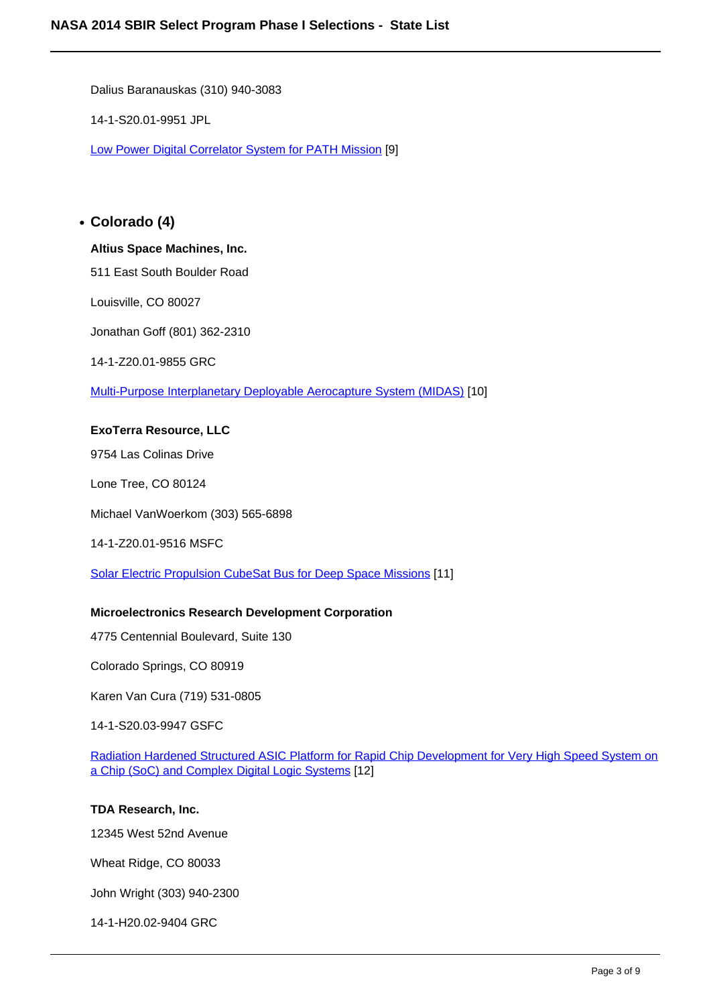Dalius Baranauskas (310) 940-3083

14-1-S20.01-9951 JPL

Low Power Digital Correlator System for PATH Mission [9]

## **Colorado (4)**

#### **Altius Space Machines, Inc.**

511 East South Boulder Road

Louisville, CO 80027

Jonathan Goff (801) 362-2310

14-1-Z20.01-9855 GRC

Multi-Purpose Interplanetary Deployable Aerocapture System (MIDAS) [10]

#### **ExoTerra Resource, LLC**

9754 Las Colinas Drive

Lone Tree, CO 80124

Michael VanWoerkom (303) 565-6898

#### 14-1-Z20.01-9516 MSFC

Solar Electric Propulsion CubeSat Bus for Deep Space Missions [11]

#### **Microelectronics Research Development Corporation**

4775 Centennial Boulevard, Suite 130

Colorado Springs, CO 80919

Karen Van Cura (719) 531-0805

14-1-S20.03-9947 GSFC

Radiation Hardened Structured ASIC Platform for Rapid Chip Development for Very High Speed System on a Chip (SoC) and Complex Digital Logic Systems [12]

#### **TDA Research, Inc.**

12345 West 52nd Avenue

Wheat Ridge, CO 80033

John Wright (303) 940-2300

14-1-H20.02-9404 GRC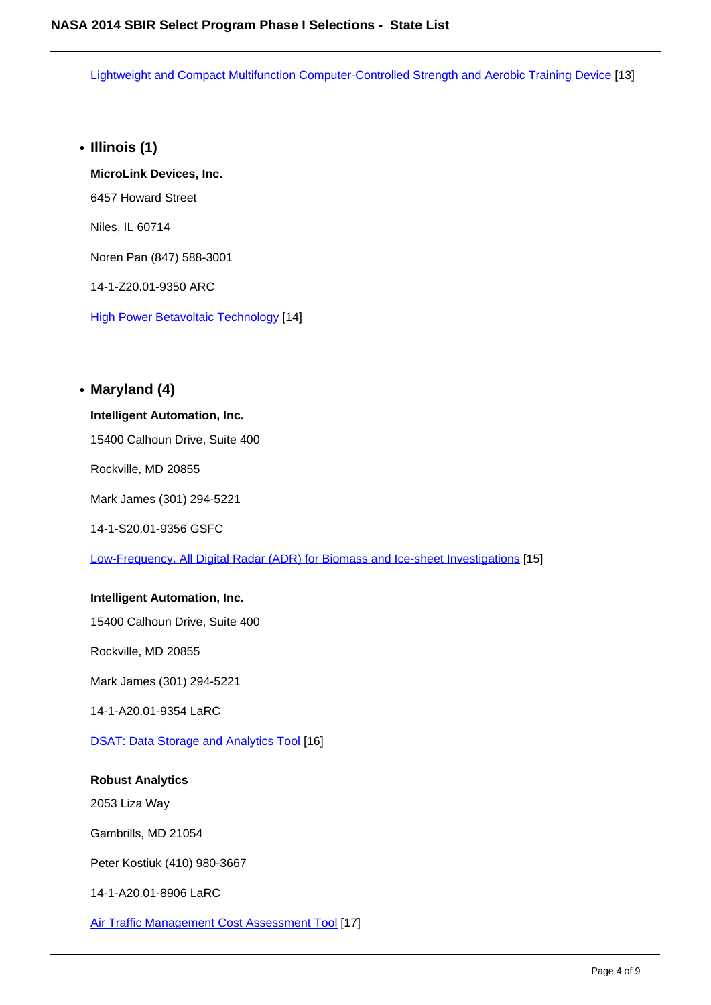Lightweight and Compact Multifunction Computer-Controlled Strength and Aerobic Training Device [13]

**Illinois (1)**

**MicroLink Devices, Inc.** 6457 Howard Street Niles, IL 60714 Noren Pan (847) 588-3001 14-1-Z20.01-9350 ARC

**High Power Betavoltaic Technology [14]** 

## **Maryland (4)**

#### **Intelligent Automation, Inc.**

15400 Calhoun Drive, Suite 400

Rockville, MD 20855

Mark James (301) 294-5221

14-1-S20.01-9356 GSFC

Low-Frequency, All Digital Radar (ADR) for Biomass and Ice-sheet Investigations [15]

#### **Intelligent Automation, Inc.**

15400 Calhoun Drive, Suite 400

Rockville, MD 20855

Mark James (301) 294-5221

14-1-A20.01-9354 LaRC

DSAT: Data Storage and Analytics Tool [16]

#### **Robust Analytics**

2053 Liza Way

Gambrills, MD 21054

Peter Kostiuk (410) 980-3667

14-1-A20.01-8906 LaRC

Air Traffic Management Cost Assessment Tool [17]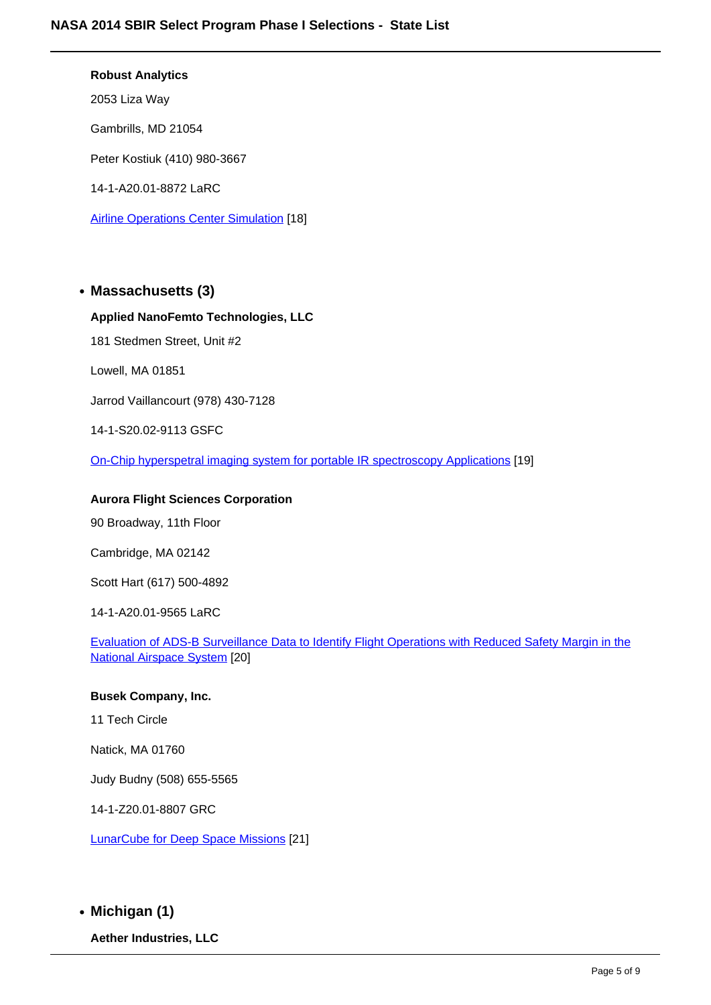#### **Robust Analytics**

2053 Liza Way

Gambrills, MD 21054

Peter Kostiuk (410) 980-3667

14-1-A20.01-8872 LaRC

Airline Operations Center Simulation [18]

## **Massachusetts (3)**

#### **Applied NanoFemto Technologies, LLC**

181 Stedmen Street, Unit #2

Lowell, MA 01851

Jarrod Vaillancourt (978) 430-7128

14-1-S20.02-9113 GSFC

On-Chip hyperspetral imaging system for portable IR spectroscopy Applications [19]

### **Aurora Flight Sciences Corporation**

90 Broadway, 11th Floor

Cambridge, MA 02142

Scott Hart (617) 500-4892

14-1-A20.01-9565 LaRC

Evaluation of ADS-B Surveillance Data to Identify Flight Operations with Reduced Safety Margin in the National Airspace System [20]

#### **Busek Company, Inc.**

11 Tech Circle

Natick, MA 01760

Judy Budny (508) 655-5565

14-1-Z20.01-8807 GRC

LunarCube for Deep Space Missions [21]

**Michigan (1)**

**Aether Industries, LLC**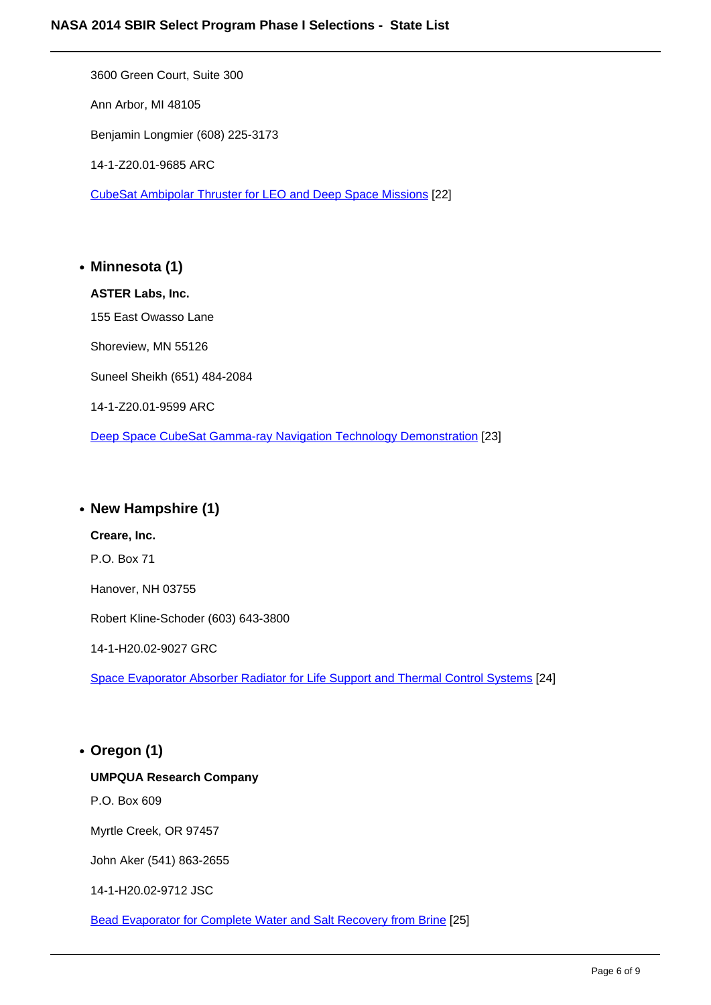3600 Green Court, Suite 300 Ann Arbor, MI 48105 Benjamin Longmier (608) 225-3173 14-1-Z20.01-9685 ARC CubeSat Ambipolar Thruster for LEO and Deep Space Missions [22]

**Minnesota (1) ASTER Labs, Inc.** 155 East Owasso Lane Shoreview, MN 55126 Suneel Sheikh (651) 484-2084 14-1-Z20.01-9599 ARC Deep Space CubeSat Gamma-ray Navigation Technology Demonstration [23]

## **New Hampshire (1)**

**Creare, Inc.** P.O. Box 71 Hanover, NH 03755 Robert Kline-Schoder (603) 643-3800 14-1-H20.02-9027 GRC Space Evaporator Absorber Radiator for Life Support and Thermal Control Systems [24]

# **Oregon (1) UMPQUA Research Company** P.O. Box 609 Myrtle Creek, OR 97457 John Aker (541) 863-2655 14-1-H20.02-9712 JSC

Bead Evaporator for Complete Water and Salt Recovery from Brine [25]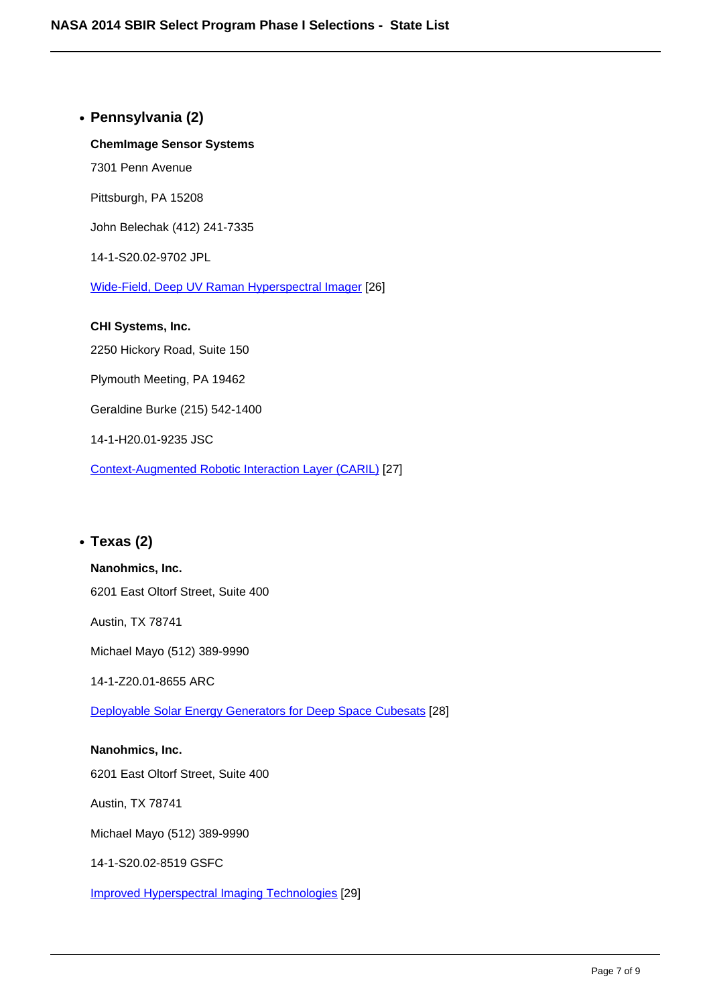**Pennsylvania (2) ChemImage Sensor Systems**

Pittsburgh, PA 15208

7301 Penn Avenue

John Belechak (412) 241-7335

14-1-S20.02-9702 JPL

Wide-Field, Deep UV Raman Hyperspectral Imager [26]

**CHI Systems, Inc.** 2250 Hickory Road, Suite 150 Plymouth Meeting, PA 19462 Geraldine Burke (215) 542-1400 14-1-H20.01-9235 JSC

Context-Augmented Robotic Interaction Layer (CARIL) [27]

## **Texas (2)**

#### **Nanohmics, Inc.**

6201 East Oltorf Street, Suite 400

Austin, TX 78741

Michael Mayo (512) 389-9990

14-1-Z20.01-8655 ARC

Deployable Solar Energy Generators for Deep Space Cubesats [28]

**Nanohmics, Inc.** 6201 East Oltorf Street, Suite 400 Austin, TX 78741

Michael Mayo (512) 389-9990

14-1-S20.02-8519 GSFC

Improved Hyperspectral Imaging Technologies [29]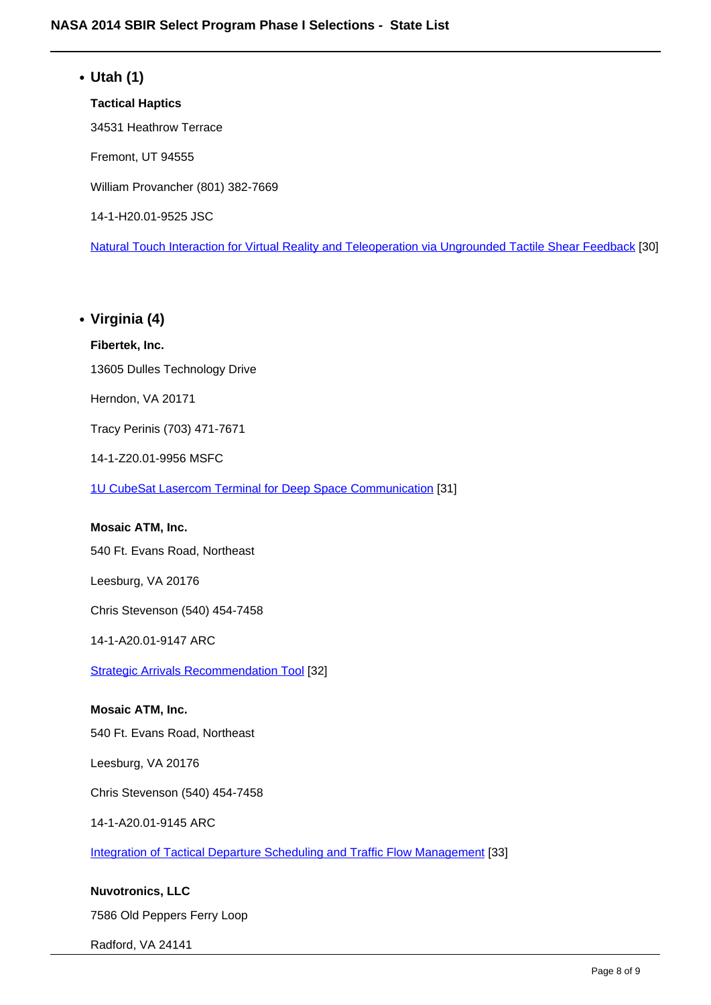## **Utah (1) Tactical Haptics** 34531 Heathrow Terrace Fremont, UT 94555 William Provancher (801) 382-7669 14-1-H20.01-9525 JSC Natural Touch Interaction for Virtual Reality and Teleoperation via Ungrounded Tactile Shear Feedback [30]

## **Virginia (4)**

## **Fibertek, Inc.**

13605 Dulles Technology Drive

Herndon, VA 20171

Tracy Perinis (703) 471-7671

14-1-Z20.01-9956 MSFC

1U CubeSat Lasercom Terminal for Deep Space Communication [31]

#### **Mosaic ATM, Inc.**

540 Ft. Evans Road, Northeast

Leesburg, VA 20176

Chris Stevenson (540) 454-7458

14-1-A20.01-9147 ARC

Strategic Arrivals Recommendation Tool [32]

#### **Mosaic ATM, Inc.**

540 Ft. Evans Road, Northeast

Leesburg, VA 20176

Chris Stevenson (540) 454-7458

14-1-A20.01-9145 ARC

Integration of Tactical Departure Scheduling and Traffic Flow Management [33]

**Nuvotronics, LLC** 7586 Old Peppers Ferry Loop

Radford, VA 24141